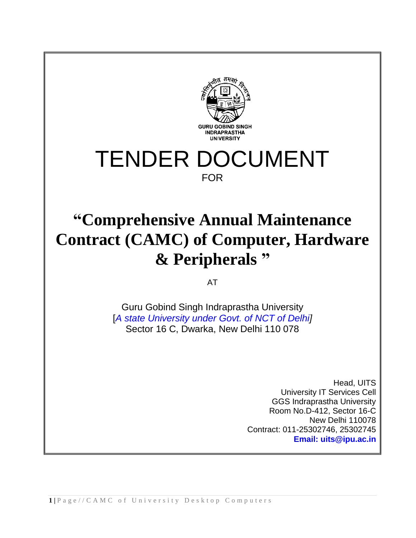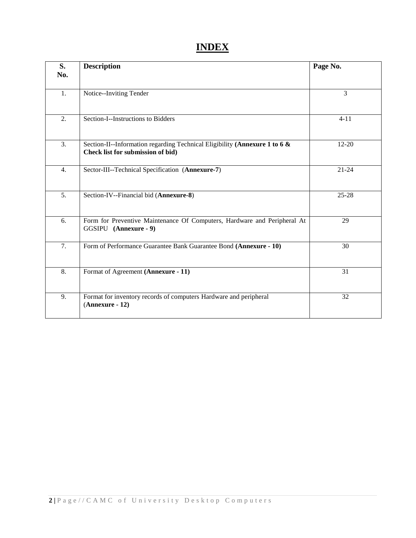# **INDEX**

| S.<br>No.        | <b>Description</b>                                                                                              | Page No.  |
|------------------|-----------------------------------------------------------------------------------------------------------------|-----------|
|                  |                                                                                                                 |           |
| 1.               | Notice--Inviting Tender                                                                                         | 3         |
| 2.               | Section-I--Instructions to Bidders                                                                              | $4 - 11$  |
| 3.               | Section-II--Information regarding Technical Eligibility (Annexure 1 to 6 &<br>Check list for submission of bid) | $12 - 20$ |
| 4.               | Sector-III--Technical Specification (Annexure-7)                                                                | $21 - 24$ |
| 5.               | Section-IV--Financial bid (Annexure-8)                                                                          | $25 - 28$ |
| 6.               | Form for Preventive Maintenance Of Computers, Hardware and Peripheral At<br>GGSIPU (Annexure - 9)               | 29        |
| 7.               | Form of Performance Guarantee Bank Guarantee Bond (Annexure - 10)                                               | 30        |
| $\overline{8}$ . | Format of Agreement (Annexure - 11)                                                                             | 31        |
| 9.               | Format for inventory records of computers Hardware and peripheral<br>$(Annexure - 12)$                          | 32        |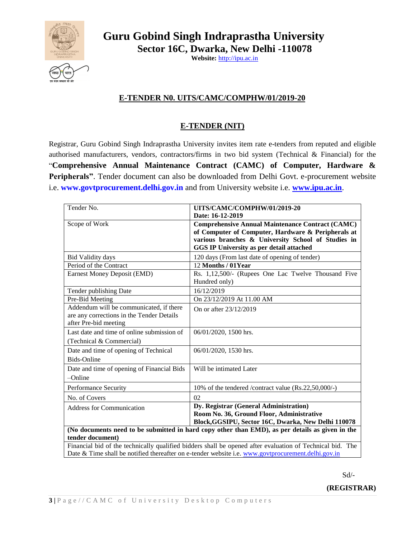

**Guru Gobind Singh Indraprastha University Sector 16C, Dwarka, New Delhi -110078** 

**Website:** [http://ipu.ac.in](http://ipu.ac.in/)

# **E-TENDER N0. UITS/CAMC/COMPHW/01/2019-20**

# **E-TENDER (NIT)**

Registrar, Guru Gobind Singh Indraprastha University invites item rate e-tenders from reputed and eligible authorised manufacturers, vendors, contractors/firms in two bid system (Technical & Financial) for the "**Comprehensive Annual Maintenance Contract (CAMC) of Computer, Hardware & Peripherals"**. Tender document can also be downloaded from Delhi Govt. e-procurement website i.e. **www.govtprocurement.delhi.gov.in** and from University website i.e. **[www.ipu.ac.in](http://www.ipu.ac.in/)**.

| Tender No.                                                                                                    | UITS/CAMC/COMPHW/01/2019-20                                                                                                                                                                                            |  |  |  |
|---------------------------------------------------------------------------------------------------------------|------------------------------------------------------------------------------------------------------------------------------------------------------------------------------------------------------------------------|--|--|--|
|                                                                                                               | Date: 16-12-2019                                                                                                                                                                                                       |  |  |  |
| Scope of Work                                                                                                 | <b>Comprehensive Annual Maintenance Contract (CAMC)</b><br>of Computer of Computer, Hardware & Peripherals at<br>various branches & University School of Studies in<br><b>GGS IP University as per detail attached</b> |  |  |  |
| <b>Bid Validity days</b>                                                                                      | 120 days (From last date of opening of tender)                                                                                                                                                                         |  |  |  |
| Period of the Contract                                                                                        | 12 Months / 01Year                                                                                                                                                                                                     |  |  |  |
| Earnest Money Deposit (EMD)                                                                                   | Rs. 1,12,500/- (Rupees One Lac Twelve Thousand Five<br>Hundred only)                                                                                                                                                   |  |  |  |
| Tender publishing Date                                                                                        | 16/12/2019                                                                                                                                                                                                             |  |  |  |
| Pre-Bid Meeting                                                                                               | On 23/12/2019 At 11.00 AM                                                                                                                                                                                              |  |  |  |
| Addendum will be communicated, if there<br>are any corrections in the Tender Details<br>after Pre-bid meeting | On or after 23/12/2019                                                                                                                                                                                                 |  |  |  |
| Last date and time of online submission of<br>(Technical & Commercial)                                        | 06/01/2020, 1500 hrs.                                                                                                                                                                                                  |  |  |  |
| Date and time of opening of Technical<br><b>Bids-Online</b>                                                   | 06/01/2020, 1530 hrs.                                                                                                                                                                                                  |  |  |  |
| Date and time of opening of Financial Bids<br>$-Online$                                                       | Will be intimated Later                                                                                                                                                                                                |  |  |  |
| Performance Security                                                                                          | 10% of the tendered /contract value (Rs.22,50,000/-)                                                                                                                                                                   |  |  |  |
| No. of Covers                                                                                                 | 02                                                                                                                                                                                                                     |  |  |  |
| <b>Address for Communication</b>                                                                              | Dy. Registrar (General Administration)<br>Room No. 36, Ground Floor, Administrative<br>Block, GGSIPU, Sector 16C, Dwarka, New Delhi 110078                                                                             |  |  |  |
|                                                                                                               | (No documents need to be submitted in hard copy other than EMD), as per details as given in the                                                                                                                        |  |  |  |
| tender document)                                                                                              |                                                                                                                                                                                                                        |  |  |  |
|                                                                                                               | Financial bid of the technically qualified bidders shall be opened after evaluation of Technical bid. The                                                                                                              |  |  |  |
| Date & Time shall be notified thereafter on e-tender website i.e. www.govtprocurement.delhi.gov.in            |                                                                                                                                                                                                                        |  |  |  |

Sd/-

**(REGISTRAR)**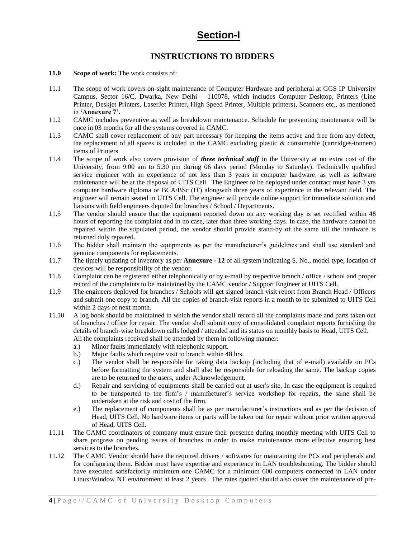# **Section-I**

# **INSTRUCTIONS TO BIDDERS**

- **11.0 Scope of work:** The work consists of:
- 11.1 The scope of work covers on-sight maintenance of Computer Hardware and peripheral at GGS IP University Campus, Sector 16/C, Dwarka, New Delhi – 110078, which includes Computer Desktop, Printers (Line Printer, Deskjet Printers, LaserJet Printer, High Speed Printer, Multiple printers), Scanners etc., as mentioned in **'Annexure 7'.**
- 11.2 CAMC includes preventive as well as breakdown maintenance. Schedule for preventing maintenance will be once in 03 months for all the systems covered in CAMC.
- 11.3 CAMC shall cover replacement of any part necessary for keeping the items active and free from any defect, the replacement of all spares is included in the CAMC excluding plastic & consumable (cartridges-tonners) items of Printers
- 11.4 The scope of work also covers provision of *three technical staff* in the University at no extra cost of the University, from 9.00 am to 5.30 pm during 06 days period (Monday to Saturday). Technically qualified service engineer with an experience of not less than 3 years in computer hardware, as well as software maintenance will be at the disposal of UITS Cell. The Engineer to be deployed under contract must have 3 yrs computer hardware diploma or BCA/BSc (IT) alongwith three years of experience in the relevant field. The engineer will remain seated in UITS Cell. The engineer will provide online support for immediate solution and liaisons with field engineers deputed for branches / School / Departments.
- 11.5 The vendor should ensure that the equipment reported down on any working day is set rectified within 48 hours of reporting the complaint and in no case, later than three working days. In case, the hardware cannot be repaired within the stipulated period, the vendor should provide stand-by of the same till the hardware is returned duly repaired.
- 11.6 The bidder shall maintain the equipments as per the manufacturer's guidelines and shall use standard and genuine components for replacements.
- 11.7 The timely updating of inventory as per **Annexure - 12** of all system indicating S. No., model type, location of devices will be responsibility of the vendor.
- 11.8 Complaint can be registered either telephonically or by e-mail by respective branch / office / school and proper record of the complaints to be maintained by the CAMC vendor / Support Engineer at UITS Cell.
- 11.9 The engineers deployed for branches / Schools will get signed branch visit report from Branch Head / Officers and submit one copy to branch. All the copies of branch-visit reports in a month to be submitted to UITS Cell within 2 days of next month.
- 11.10 A log book should be maintained in which the vendor shall record all the complaints made and parts taken out of branches / office for repair. The vendor shall submit copy of consolidated complaint reports furnishing the details of branch-wise breakdown calls lodged / attended and its status on monthly basis to Head, UITS Cell. All the complaints received shall be attended by them in following manner:
	- a.) Minor faults immediately with telephonic support.
	- b.) Major faults which require visit to branch within 48 hrs.
	- c.) The vendor shall be responsible for taking data backup (including that of e-mail) available on PCs before formatting the system and shall also be responsible for reloading the same. The backup copies are to be returned to the users, under Acknowledgement.
	- d.) Repair and servicing of equipments shall be carried out at user's site, In case the equipment is required to be transported to the firm's / manufacturer's service workshop for repairs, the same shall be undertaken at the risk and cost of the firm.
	- e.) The replacement of components shall be as per manufacturer's instructions and as per the decision of Head, UITS Cell. No hardware items or parts will be taken out for repair without prior written approval of Head, UITS Cell.
- 11.11 The CAMC coordinators of company must ensure their presence during monthly meeting with UITS Cell to share progress on pending issues of branches in order to make maintenance more effective ensuring best services to the branches.
- 11.12 The CAMC Vendor should have the required drivers / softwares for maintaining the PCs and peripherals and for configuring them. Bidder must have expertise and experience in LAN troubleshooting. The bidder should have executed satisfactorily minimum one CAMC for a minimum 600 computers connected in LAN under Linux/Window NT environment at least 2 years . The rates quoted should also cover the maintenance of pre-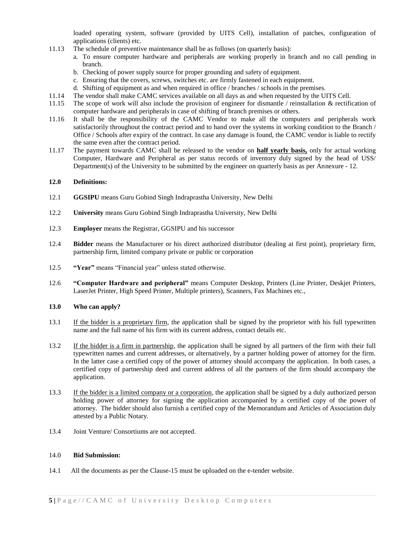loaded operating system, software (provided by UITS Cell), installation of patches, configuration of applications (clients) etc.

- 11.13 The schedule of preventive maintenance shall be as follows (on quarterly basis):
	- a. To ensure computer hardware and peripherals are working properly in branch and no call pending in branch.
	- b. Checking of power supply source for proper grounding and safety of equipment.
	- c. Ensuring that the covers, screws, switches etc. are firmly fastened in each equipment.
	- d. Shifting of equipment as and when required in office / branches / schools in the premises.
- 11.14 The vendor shall make CAMC services available on all days as and when requested by the UITS Cell.
- 11.15 The scope of work will also include the provision of engineer for dismantle / reinstallation & rectification of computer hardware and peripherals in case of shifting of branch premises or others.
- 11.16 It shall be the responsibility of the CAMC Vendor to make all the computers and peripherals work satisfactorily throughout the contract period and to hand over the systems in working condition to the Branch / Office / Schools after expiry of the contract. In case any damage is found, the CAMC vendor is liable to rectify the same even after the contract period.
- 11.17 The payment towards CAMC shall be released to the vendor on **half yearly basis,** only for actual working Computer, Hardware and Peripheral as per status records of inventory duly signed by the head of USS/ Department(s) of the University to be submitted by the engineer on quarterly basis as per Annexure - 12.

#### **12.0 Definitions:**

- 12.1 **GGSIPU** means Guru Gobind Singh Indraprastha University, New Delhi
- 12.2 **University** means Guru Gobind Singh Indraprastha University, New Delhi
- 12.3 **Employer** means the Registrar, GGSIPU and his successor
- 12.4 **Bidder** means the Manufacturer or his direct authorized distributor (dealing at first point), proprietary firm, partnership firm, limited company private or public or corporation
- 12.5 **"Year"** means "Financial year" unless stated otherwise.
- 12.6 **"Computer Hardware and peripheral"** means Computer Desktop, Printers (Line Printer, Deskjet Printers, LaserJet Printer, High Speed Printer, Multiple printers), Scanners, Fax Machines etc.,

#### **13.0 Who can apply?**

- 13.1 If the bidder is a proprietary firm, the application shall be signed by the proprietor with his full typewritten name and the full name of his firm with its current address, contact details etc.
- 13.2 If the bidder is a firm in partnership, the application shall be signed by all partners of the firm with their full typewritten names and current addresses, or alternatively, by a partner holding power of attorney for the firm. In the latter case a certified copy of the power of attorney should accompany the application. In both cases, a certified copy of partnership deed and current address of all the partners of the firm should accompany the application.
- 13.3 If the bidder is a limited company or a corporation, the application shall be signed by a duly authorized person holding power of attorney for signing the application accompanied by a certified copy of the power of attorney. The bidder should also furnish a certified copy of the Memorandum and Articles of Association duly attested by a Public Notary.
- 13.4 Joint Venture/ Consortiums are not accepted.

#### 14.0 **Bid Submission:**

14.1 All the documents as per the Clause-15 must be uploaded on the e-tender website.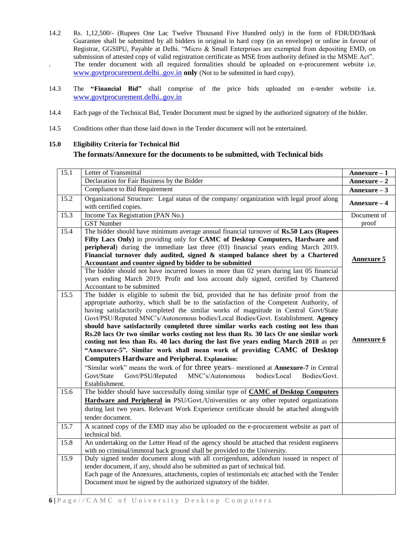- 14.2 Rs. 1,12,500/- (Rupees One Lac Twelve Thousand Five Hundred only) in the form of FDR/DD/Bank Guarantee shall be submitted by all bidders in original in hard copy (in an envelope) or online in favour of Registrar, GGSIPU, Payable at Delhi. "Micro & Small Enterprises are exempted from depositing EMD, on submission of attested copy of valid registration certificate as MSE from authority defined in the MSME Act". . The tender document with all required formalities should be uploaded on e-procurement website i.e. [www.govtprocurement.delhi..gov.in](http://www.govtprocurement.delhi..gov.in/) **only** (Not to be submitted in hard copy).
- 14.3 The **"Financial Bid"** shall comprise of the price bids uploaded on e-tender website i.e. [www.govtprocurement.delhi..gov.in](http://www.govtprocurement.delhi..gov.in/)
- 14.4 Each page of the Technical Bid, Tender Document must be signed by the authorized signatory of the bidder.
- 14.5 Conditions other than those laid down in the Tender document will not be entertained.

# **15.0 Eligibility Criteria for Technical Bid The formats/Annexure for the documents to be submitted, with Technical bids**

| 15.1 | Letter of Transmittal                                                                                                                                                                                                                                                                                                                                                                                                                                                                                                                                                                                                                                                                                                                                                                                                                                                                                                                                                        | Annexure - 1      |
|------|------------------------------------------------------------------------------------------------------------------------------------------------------------------------------------------------------------------------------------------------------------------------------------------------------------------------------------------------------------------------------------------------------------------------------------------------------------------------------------------------------------------------------------------------------------------------------------------------------------------------------------------------------------------------------------------------------------------------------------------------------------------------------------------------------------------------------------------------------------------------------------------------------------------------------------------------------------------------------|-------------------|
|      | Declaration for Fair Business by the Bidder                                                                                                                                                                                                                                                                                                                                                                                                                                                                                                                                                                                                                                                                                                                                                                                                                                                                                                                                  | $Annexure-2$      |
|      | Compliance to Bid Requirement                                                                                                                                                                                                                                                                                                                                                                                                                                                                                                                                                                                                                                                                                                                                                                                                                                                                                                                                                | Annexure $-3$     |
| 15.2 | Organizational Structure: Legal status of the company/ organization with legal proof along<br>with certified copies.                                                                                                                                                                                                                                                                                                                                                                                                                                                                                                                                                                                                                                                                                                                                                                                                                                                         | $Annexure-4$      |
| 15.3 | Income Tax Registration (PAN No.)                                                                                                                                                                                                                                                                                                                                                                                                                                                                                                                                                                                                                                                                                                                                                                                                                                                                                                                                            | Document of       |
|      | <b>GST Number</b>                                                                                                                                                                                                                                                                                                                                                                                                                                                                                                                                                                                                                                                                                                                                                                                                                                                                                                                                                            | proof             |
| 15.4 | The bidder should have minimum average annual financial turnover of Rs.50 Lacs (Rupees<br>Fifty Lacs Only) in providing only for CAMC of Desktop Computers, Hardware and<br><b>peripheral</b> ) during the immediate last three (03) financial years ending March 2019.<br>Financial turnover duly audited, signed & stamped balance sheet by a Chartered<br>Accountant and counter signed by bidder to be submitted<br>The bidder should not have incurred losses in more than 02 years during last 05 financial<br>years ending March 2019. Profit and loss account duly signed, certified by Chartered<br>Accountant to be submitted                                                                                                                                                                                                                                                                                                                                      | <b>Annexure 5</b> |
| 15.5 | The bidder is eligible to submit the bid, provided that he has definite proof from the<br>appropriate authority, which shall be to the satisfaction of the Competent Authority, of<br>having satisfactorily completed the similar works of magnitude in Central Govt/State<br>Govt/PSU/Reputed MNC's/Autonomous bodies/Local Bodies/Govt. Establishment. Agency<br>should have satisfactorily completed three similar works each costing not less than<br>Rs.20 lacs Or two similar works costing not less than Rs. 30 lacs Or one similar work<br>costing not less than Rs. 40 lacs during the last five years ending March 2018 as per<br>"Annexure-5". Similar work shall mean work of providing CAMC of Desktop<br><b>Computers Hardware and Peripheral. Explanation:</b><br>"Similar work" means the work of for three years-mentioned at Annexure-7 in Central<br>MNC's/Autonomous<br>Govt/State<br>Govt/PSU/Reputed<br>bodies/Local<br>Bodies/Govt.<br>Establishment. | <b>Annexure 6</b> |
| 15.6 | The bidder should have successfully doing similar type of CAMC of Desktop Computers<br>Hardware and Peripheral in PSU/Govt./Universities or any other reputed organizations<br>during last two years. Relevant Work Experience certificate should be attached alongwith<br>tender document.                                                                                                                                                                                                                                                                                                                                                                                                                                                                                                                                                                                                                                                                                  |                   |
| 15.7 | A scanned copy of the EMD may also be uploaded on the e-procurement website as part of<br>technical bid.                                                                                                                                                                                                                                                                                                                                                                                                                                                                                                                                                                                                                                                                                                                                                                                                                                                                     |                   |
| 15.8 | An undertaking on the Letter Head of the agency should be attached that resident engineers<br>with no criminal/immoral back ground shall be provided to the University.                                                                                                                                                                                                                                                                                                                                                                                                                                                                                                                                                                                                                                                                                                                                                                                                      |                   |
| 15.9 | Duly signed tender document along with all corrigendum, addendum issued in respect of<br>tender document, if any, should also be submitted as part of technical bid.<br>Each page of the Annexures, attachments, copies of testimonials etc attached with the Tender<br>Document must be signed by the authorized signatory of the bidder.                                                                                                                                                                                                                                                                                                                                                                                                                                                                                                                                                                                                                                   |                   |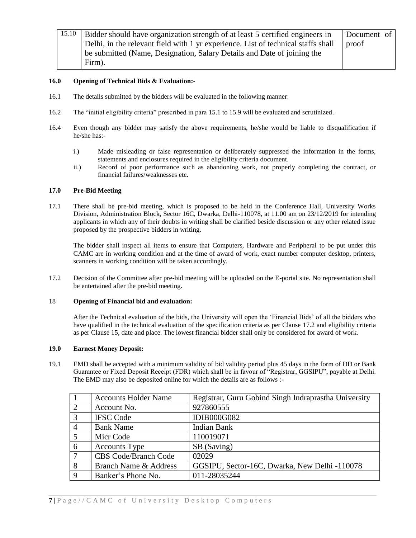| 15.10 | Bidder should have organization strength of at least 5 certified engineers in     | Document of |
|-------|-----------------------------------------------------------------------------------|-------------|
|       | Delhi, in the relevant field with 1 yr experience. List of technical staffs shall | proof       |
|       | be submitted (Name, Designation, Salary Details and Date of joining the           |             |
|       | Firm).                                                                            |             |

### **16.0 Opening of Technical Bids & Evaluation:-**

- 16.1 The details submitted by the bidders will be evaluated in the following manner:
- 16.2 The "initial eligibility criteria" prescribed in para 15.1 to 15.9 will be evaluated and scrutinized.
- 16.4 Even though any bidder may satisfy the above requirements, he/she would be liable to disqualification if he/she has:
	- i.) Made misleading or false representation or deliberately suppressed the information in the forms, statements and enclosures required in the eligibility criteria document.
	- ii.) Record of poor performance such as abandoning work, not properly completing the contract, or financial failures/weaknesses etc.

#### **17.0 Pre-Bid Meeting**

17.1 There shall be pre-bid meeting, which is proposed to be held in the Conference Hall, University Works Division, Administration Block, Sector 16C, Dwarka, Delhi-110078, at 11.00 am on 23/12/2019 for intending applicants in which any of their doubts in writing shall be clarified beside discussion or any other related issue proposed by the prospective bidders in writing.

The bidder shall inspect all items to ensure that Computers, Hardware and Peripheral to be put under this CAMC are in working condition and at the time of award of work, exact number computer desktop, printers, scanners in working condition will be taken accordingly.

17.2 Decision of the Committee after pre-bid meeting will be uploaded on the E-portal site. No representation shall be entertained after the pre-bid meeting.

#### 18 **Opening of Financial bid and evaluation:**

After the Technical evaluation of the bids, the University will open the 'Financial Bids' of all the bidders who have qualified in the technical evaluation of the specification criteria as per Clause 17.2 and eligibility criteria as per Clause 15, date and place. The lowest financial bidder shall only be considered for award of work.

#### **19.0 Earnest Money Deposit:**

19.1 EMD shall be accepted with a minimum validity of bid validity period plus 45 days in the form of DD or Bank Guarantee or Fixed Deposit Receipt (FDR) which shall be in favour of "Registrar, GGSIPU", payable at Delhi. The EMD may also be deposited online for which the details are as follows :-

|                | <b>Accounts Holder Name</b> | Registrar, Guru Gobind Singh Indraprastha University |
|----------------|-----------------------------|------------------------------------------------------|
| $\overline{2}$ | Account No.                 | 927860555                                            |
| 3              | <b>IFSC Code</b>            | <b>IDIB000G082</b>                                   |
| $\overline{4}$ | <b>Bank Name</b>            | <b>Indian Bank</b>                                   |
| 5              | Micr Code                   | 110019071                                            |
| 6              | <b>Accounts Type</b>        | SB (Saving)                                          |
| 7              | <b>CBS Code/Branch Code</b> | 02029                                                |
| 8              | Branch Name & Address       | GGSIPU, Sector-16C, Dwarka, New Delhi -110078        |
| 9              | Banker's Phone No.          | 011-28035244                                         |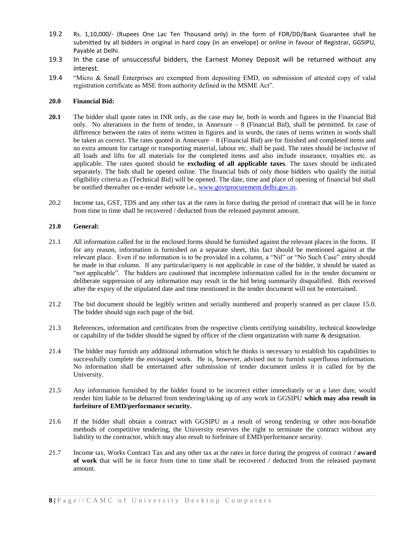- 19.2 Rs. 1,10,000/- (Rupees One Lac Ten Thousand only) in the form of FDR/DD/Bank Guarantee shall be submitted by all bidders in original in hard copy (in an envelope) or online in favour of Registrar, GGSIPU, Payable at Delhi.
- 19.3 In the case of unsuccessful bidders, the Earnest Money Deposit will be returned without any interest.
- 19.4 "Micro & Small Enterprises are exempted from depositing EMD, on submission of attested copy of valid registration certificate as MSE from authority defined in the MSME Act".

#### **20.0 Financial Bid:**

- **20.1** The bidder shall quote rates in INR only, as the case may be, both in words and figures in the Financial Bid only. No alterations in the form of tender, in Annexure  $-8$  (Financial Bid), shall be permitted. In case of difference between the rates of items written in figures and in words, the rates of items written in words shall be taken as correct. The rates quoted in Annexure – 8 (Financial Bid) are for finished and completed items and no extra amount for cartage or transporting material, labour etc. shall be paid. The rates should be inclusive of all loads and lifts for all materials for the completed items and also include insurance, royalties etc. as applicable. The rates quoted should be **excluding of all applicable taxes**. The taxes should be indicated separately. The bids shall be opened online. The financial bids of only those bidders who qualify the initial eligibility criteria as (Technical Bid) will be opened. The date, time and place of opening of financial bid shall be notified thereafter on e-tender website i.e., [www.govtprocurement.delhi.gov.in.](http://www.govtprocurement.delhi.gov.in/)
- 20.2 Income tax, GST, TDS and any other tax at the rates in force during the period of contract that will be in force from time to time shall be recovered / deducted from the released payment amount.

#### **21.0 General:**

- 21.1 All information called for in the enclosed forms should be furnished against the relevant places in the forms. If for any reason, information is furnished on a separate sheet, this fact should be mentioned against at the relevant place. Even if no information is to be provided in a column, a "Nil" or "No Such Case" entry should be made in that column. If any particular/query is not applicable in case of the bidder, it should be stated as "not applicable". The bidders are cautioned that incomplete information called for in the tender document or deliberate suppression of any information may result in the bid being summarily disqualified. Bids received after the expiry of the stipulated date and time mentioned in the tender document will not be entertained.
- 21.2 The bid document should be legibly written and serially numbered and properly scanned as per clause 15.0. The bidder should sign each page of the bid.
- 21.3 References, information and certificates from the respective clients certifying suitability, technical knowledge or capability of the bidder should be signed by officer of the client organization with name & designation.
- 21.4 The bidder may furnish any additional information which he thinks is necessary to establish his capabilities to successfully complete the envisaged work. He is, however, advised not to furnish superfluous information. No information shall be entertained after submission of tender document unless it is called for by the University.
- 21.5 Any information furnished by the bidder found to be incorrect either immediately or at a later date, would render him liable to be debarred from tendering/taking up of any work in GGSIPU **which may also result in forfeiture of EMD/performance security.**
- 21.6 If the bidder shall obtain a contract with GGSIPU as a result of wrong tendering or other non-bonafide methods of competitive tendering, the University reserves the right to terminate the contract without any liability to the contractor, which may also result to forfeiture of EMD/performance security.
- 21.7 Income tax, Works Contract Tax and any other tax at the rates in force during the progress of contract **/ award of work** that will be in force from time to time shall be recovered / deducted from the released payment amount.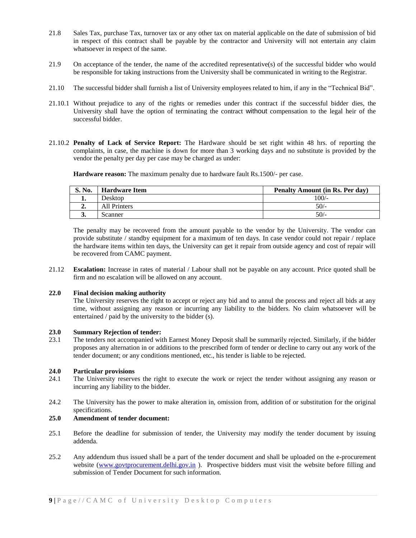- 21.8 Sales Tax, purchase Tax, turnover tax or any other tax on material applicable on the date of submission of bid in respect of this contract shall be payable by the contractor and University will not entertain any claim whatsoever in respect of the same.
- 21.9 On acceptance of the tender, the name of the accredited representative(s) of the successful bidder who would be responsible for taking instructions from the University shall be communicated in writing to the Registrar.
- 21.10 The successful bidder shall furnish a list of University employees related to him, if any in the "Technical Bid".
- 21.10.1 Without prejudice to any of the rights or remedies under this contract if the successful bidder dies, the University shall have the option of terminating the contract without compensation to the legal heir of the successful bidder.
- 21.10.2 **Penalty of Lack of Service Report:** The Hardware should be set right within 48 hrs. of reporting the complaints, in case, the machine is down for more than 3 working days and no substitute is provided by the vendor the penalty per day per case may be charged as under:

**Hardware reason:** The maximum penalty due to hardware fault Rs.1500/- per case.

| S. No. | <b>Hardware Item</b> | Penalty Amount (in Rs. Per day) |
|--------|----------------------|---------------------------------|
| . .    | Desktop              | 100/-                           |
| ∸.     | All Printers         | $50/-$                          |
| J.     | Scanner              | $50/-$                          |

The penalty may be recovered from the amount payable to the vendor by the University. The vendor can provide substitute / standby equipment for a maximum of ten days. In case vendor could not repair / replace the hardware items within ten days, the University can get it repair from outside agency and cost of repair will be recovered from CAMC payment.

21.12 **Escalation:** Increase in rates of material / Labour shall not be payable on any account. Price quoted shall be firm and no escalation will be allowed on any account.

#### **22.0 Final decision making authority**

The University reserves the right to accept or reject any bid and to annul the process and reject all bids at any time, without assigning any reason or incurring any liability to the bidders. No claim whatsoever will be entertained / paid by the university to the bidder (s).

#### **23.0 Summary Rejection of tender:**

23.1 The tenders not accompanied with Earnest Money Deposit shall be summarily rejected. Similarly, if the bidder proposes any alternation in or additions to the prescribed form of tender or decline to carry out any work of the tender document; or any conditions mentioned, etc., his tender is liable to be rejected.

#### **24.0 Particular provisions**

- 24.1 The University reserves the right to execute the work or reject the tender without assigning any reason or incurring any liability to the bidder.
- 24.2 The University has the power to make alteration in, omission from, addition of or substitution for the original specifications.

### **25.0 Amendment of tender document:**

- 25.1 Before the deadline for submission of tender, the University may modify the tender document by issuing addenda.
- 25.2 Any addendum thus issued shall be a part of the tender document and shall be uploaded on the e-procurement website [\(www.govtprocurement.delhi.gov.in](http://www.govtprocurement.delhi.gov.in/)). Prospective bidders must visit the website before filling and submission of Tender Document for such information.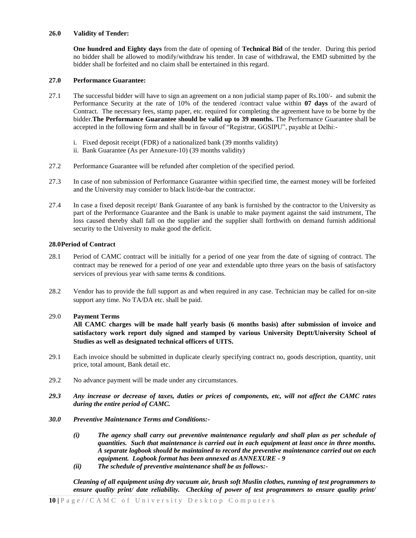#### **26.0 Validity of Tender:**

**One hundred and Eighty days** from the date of opening of **Technical Bid** of the tender. During this period no bidder shall be allowed to modify/withdraw his tender. In case of withdrawal, the EMD submitted by the bidder shall be forfeited and no claim shall be entertained in this regard.

### **27.0 Performance Guarantee:**

- 27.1 The successful bidder will have to sign an agreement on a non judicial stamp paper of Rs.100/- and submit the Performance Security at the rate of 10% of the tendered /contract value within **07 days** of the award of Contract. The necessary fees, stamp paper, etc. required for completing the agreement have to be borne by the bidder.**The Performance Guarantee should be valid up to 39 months.** The Performance Guarantee shall be accepted in the following form and shall be in favour of "Registrar, GGSIPU", payable at Delhi:
	- i. Fixed deposit receipt (FDR) of a nationalized bank (39 months validity)
	- ii. Bank Guarantee (As per Annexure-10) (39 months validity)
- 27.2 Performance Guarantee will be refunded after completion of the specified period.
- 27.3 In case of non submission of Performance Guarantee within specified time, the earnest money will be forfeited and the University may consider to black list/de-bar the contractor.
- 27.4 In case a fixed deposit receipt/ Bank Guarantee of any bank is furnished by the contractor to the University as part of the Performance Guarantee and the Bank is unable to make payment against the said instrument, The loss caused thereby shall fall on the supplier and the supplier shall forthwith on demand furnish additional security to the University to make good the deficit.

#### **28.0Period of Contract**

- 28.1 Period of CAMC contract will be initially for a period of one year from the date of signing of contract. The contract may be renewed for a period of one year and extendable upto three years on the basis of satisfactory services of previous year with same terms  $\&$  conditions.
- 28.2 Vendor has to provide the full support as and when required in any case. Technician may be called for on-site support any time. No TA/DA etc. shall be paid.

### 29.0 **Payment Terms**

**All CAMC charges will be made half yearly basis (6 months basis) after submission of invoice and satisfactory work report duly signed and stamped by various University Deptt/University School of Studies as well as designated technical officers of UITS.**

- 29.1 Each invoice should be submitted in duplicate clearly specifying contract no, goods description, quantity, unit price, total amount, Bank detail etc.
- 29.2 No advance payment will be made under any circumstances.
- *29.3 Any increase or decrease of taxes, duties or prices of components, etc, will not affect the CAMC rates during the entire period of CAMC.*
- *30.0 Preventive Maintenance Terms and Conditions:-*
	- *(i) The agency shall carry out preventive maintenance regularly and shall plan as per schedule of quantities. Such that maintenance is carried out in each equipment at least once in three months. A separate logbook should be maintained to record the preventive maintenance carried out on each equipment. Logbook format has been annexed as ANNEXURE - 9*
	- *(ii) The schedule of preventive maintenance shall be as follows:-*

*Cleaning of all equipment using dry vacuum air, brush soft Muslin clothes, running of test programmers to ensure quality print/ date reliability. Checking of power of test programmers to ensure quality print/*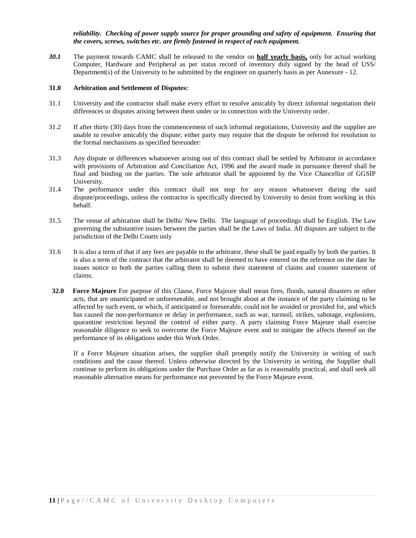*reliability. Checking of power supply source for proper grounding and safety of equipment. Ensuring that the covers, screws, switches etc. are firmly fastened in respect of each equipment.*

*30.1* The payment towards CAMC shall be released to the vendor on **half yearly basis,** only for actual working Computer, Hardware and Peripheral as per status record of inventory duly signed by the head of USS/ Department(s) of the University to be submitted by the engineer on quarterly basis as per Annexure - 12.

#### **31.0 Arbitration and Settlement of Disputes:**

- 31.1 University and the contractor shall make every effort to resolve amicably by direct informal negotiation their differences or disputes arising between them under or in connection with the University order.
- 31.2 If after thirty (30) days from the commencement of such informal negotiations, University and the supplier are unable to resolve amicably the dispute; either party may require that the dispute be referred for resolution to the formal mechanisms as specified hereunder:
- 31.3 Any dispute or differences whatsoever arising out of this contract shall be settled by Arbitrator in accordance with provisions of Arbitration and Conciliation Act, 1996 and the award made in pursuance thereof shall be final and binding on the parties. The sole arbitrator shall be appointed by the Vice Chancellor of GGSIP University.
- 31.4 The performance under this contract shall not stop for any reason whatsoever during the said dispute/proceedings, unless the contractor is specifically directed by University to desist from working in this behalf.
- 31.5 The venue of arbitration shall be Delhi/ New Delhi. The language of proceedings shall be English. The Law governing the substantive issues between the parties shall be the Laws of India. All disputes are subject to the jurisdiction of the Delhi Courts only
- 31.6 It is also a term of that if any fees are payable to the arbitrator, these shall be paid equally by both the parties. It is also a term of the contract that the arbitrator shall be deemed to have entered on the reference on the date he issues notice to both the parties calling them to submit their statement of claims and counter statement of claims.
- **32.0 Force Majeure** For purpose of this Clause, Force Majeure shall mean fires, floods, natural disasters or other acts, that are unanticipated or unforeseeable, and not brought about at the instance of the party claiming to be affected by such event, or which, if anticipated or foreseeable, could not be avoided or provided for, and which has caused the non-performance or delay in performance, such as war, turmoil, strikes, sabotage, explosions, quarantine restriction beyond the control of either party. A party claiming Force Majeure shall exercise reasonable diligence to seek to overcome the Force Majeure event and to mitigate the affects thereof on the performance of its obligations under this Work Order.

If a Force Majeure situation arises, the supplier shall promptly notify the University in writing of such conditions and the cause thereof. Unless otherwise directed by the University in writing, the Supplier shall continue to perform its obligations under the Purchase Order as far as is reasonably practical, and shall seek all reasonable alternative means for performance not prevented by the Force Majeure event.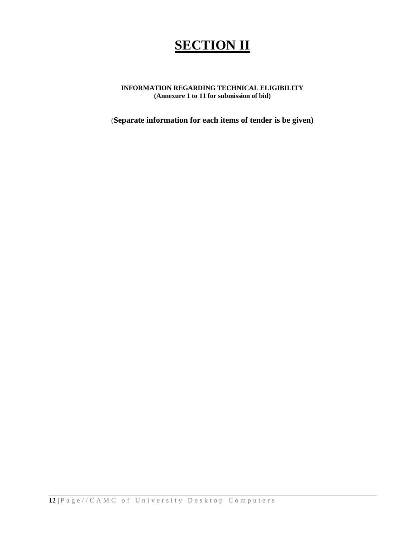# **SECTION II**

# **INFORMATION REGARDING TECHNICAL ELIGIBILITY (Annexure 1 to 11 for submission of bid)**

(**Separate information for each items of tender is be given)**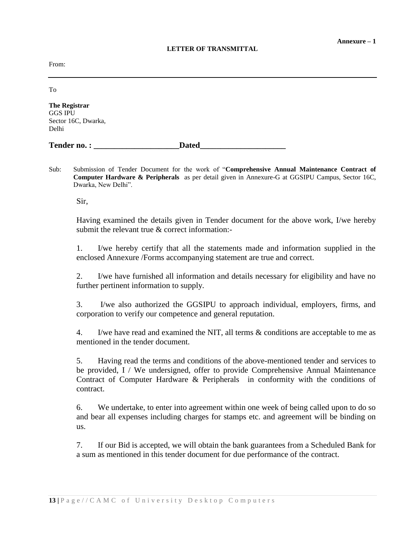### **LETTER OF TRANSMITTAL**

From:

To

**The Registrar** GGS IPU Sector 16C, Dwarka, Delhi

| <b>Tender no.:</b> | Dated |
|--------------------|-------|
|                    |       |

Sub: Submission of Tender Document for the work of "**Comprehensive Annual Maintenance Contract of Computer Hardware & Peripherals** as per detail given in Annexure-G at GGSIPU Campus, Sector 16C, Dwarka, New Delhi".

Sir,

Having examined the details given in Tender document for the above work, I/we hereby submit the relevant true & correct information:-

1. I/we hereby certify that all the statements made and information supplied in the enclosed Annexure /Forms accompanying statement are true and correct.

2. I/we have furnished all information and details necessary for eligibility and have no further pertinent information to supply.

3. I/we also authorized the GGSIPU to approach individual, employers, firms, and corporation to verify our competence and general reputation.

4. I/we have read and examined the NIT, all terms & conditions are acceptable to me as mentioned in the tender document.

5. Having read the terms and conditions of the above-mentioned tender and services to be provided, I / We undersigned, offer to provide Comprehensive Annual Maintenance Contract of Computer Hardware & Peripherals in conformity with the conditions of contract.

6. We undertake, to enter into agreement within one week of being called upon to do so and bear all expenses including charges for stamps etc. and agreement will be binding on us.

7. If our Bid is accepted, we will obtain the bank guarantees from a Scheduled Bank for a sum as mentioned in this tender document for due performance of the contract.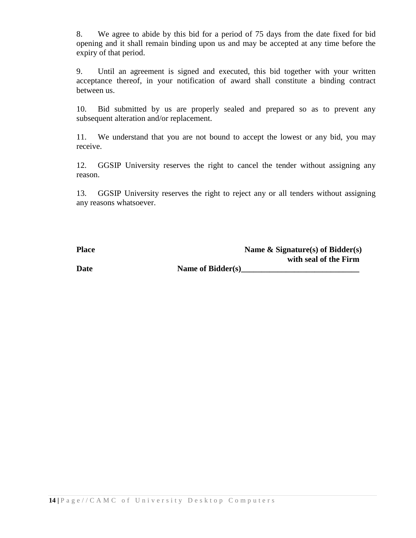8. We agree to abide by this bid for a period of 75 days from the date fixed for bid opening and it shall remain binding upon us and may be accepted at any time before the expiry of that period.

9. Until an agreement is signed and executed, this bid together with your written acceptance thereof, in your notification of award shall constitute a binding contract between us.

10. Bid submitted by us are properly sealed and prepared so as to prevent any subsequent alteration and/or replacement.

11. We understand that you are not bound to accept the lowest or any bid, you may receive.

12. GGSIP University reserves the right to cancel the tender without assigning any reason.

13. GGSIP University reserves the right to reject any or all tenders without assigning any reasons whatsoever.

| <b>Place</b> | Name $\&$ Signature(s) of Bidder(s) |
|--------------|-------------------------------------|
|              | with seal of the Firm               |
| <b>Date</b>  | Name of Bidder(s)                   |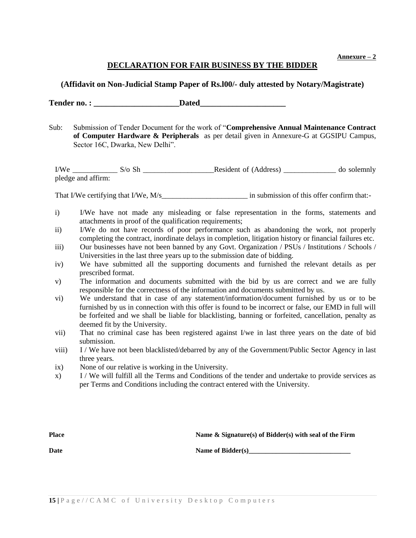**Annexure – 2**

# **DECLARATION FOR FAIR BUSINESS BY THE BIDDER**

# **(Affidavit on Non-Judicial Stamp Paper of Rs.l00/- duly attested by Notary/Magistrate)**

Tender no. : **Dated** 

Sub: Submission of Tender Document for the work of "**Comprehensive Annual Maintenance Contract of Computer Hardware & Peripherals** as per detail given in Annexure-G at GGSIPU Campus, Sector 16C, Dwarka, New Delhi".

I/We \_\_\_\_\_\_\_\_\_\_\_\_ S/o Sh \_\_\_\_\_\_\_\_\_\_\_\_\_\_\_\_\_\_\_Resident of (Address) \_\_\_\_\_\_\_\_\_\_\_\_\_\_ do solemnly pledge and affirm:

That I/We certifying that I/We, M/s in submission of this offer confirm that:-

- i) I/We have not made any misleading or false representation in the forms, statements and attachments in proof of the qualification requirements;
- ii) I/We do not have records of poor performance such as abandoning the work, not properly completing the contract, inordinate delays in completion, litigation history or financial failures etc.
- iii) Our businesses have not been banned by any Govt. Organization / PSUs / Institutions / Schools / Universities in the last three years up to the submission date of bidding.
- iv) We have submitted all the supporting documents and furnished the relevant details as per prescribed format.
- v) The information and documents submitted with the bid by us are correct and we are fully responsible for the correctness of the information and documents submitted by us.
- vi) We understand that in case of any statement/information/document furnished by us or to be furnished by us in connection with this offer is found to be incorrect or false, our EMD in full will be forfeited and we shall be liable for blacklisting, banning or forfeited, cancellation, penalty as deemed fit by the University.
- vii) That no criminal case has been registered against I/we in last three years on the date of bid submission.
- viii) I / We have not been blacklisted/debarred by any of the Government/Public Sector Agency in last three years.
- ix) None of our relative is working in the University.
- x) I / We will fulfill all the Terms and Conditions of the tender and undertake to provide services as per Terms and Conditions including the contract entered with the University.

**Place Name & Signature(s) of Bidder(s) with seal of the Firm** 

**Date Name of Bidder(s)**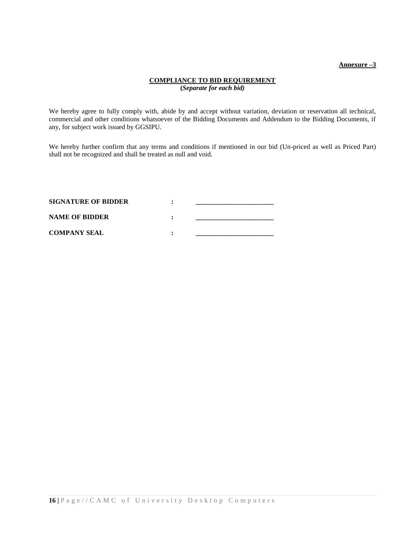#### **Annexure –3**

### **COMPLIANCE TO BID REQUIREMENT (***Separate for each bid)*

We hereby agree to fully comply with, abide by and accept without variation, deviation or reservation all technical, commercial and other conditions whatsoever of the Bidding Documents and Addendum to the Bidding Documents, if any, for subject work issued by GGSIPU.

We hereby further confirm that any terms and conditions if mentioned in our bid (Un-priced as well as Priced Part) shall not be recognized and shall be treated as null and void.

| <b>SIGNATURE OF BIDDER</b> |  |
|----------------------------|--|
| <b>NAME OF BIDDER</b>      |  |
| <b>COMPANY SEAL</b>        |  |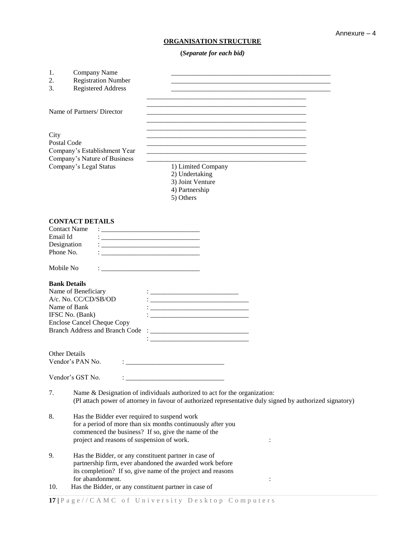# **ORGANISATION STRUCTURE**

**(***Separate for each bid)*

| 1.<br>2.<br>3.        | Company Name<br><b>Registration Number</b><br><b>Registered Address</b>                                                                                                             |                                                                                                                                                                                                                                                  |
|-----------------------|-------------------------------------------------------------------------------------------------------------------------------------------------------------------------------------|--------------------------------------------------------------------------------------------------------------------------------------------------------------------------------------------------------------------------------------------------|
|                       | Name of Partners/ Director                                                                                                                                                          |                                                                                                                                                                                                                                                  |
| City                  | Postal Code<br>Company's Establishment Year<br>Company's Nature of Business<br>Company's Legal Status                                                                               | 1) Limited Company<br>2) Undertaking<br>3) Joint Venture<br>4) Partnership<br>5) Others                                                                                                                                                          |
| Email Id<br>Phone No. | <b>CONTACT DETAILS</b><br><b>Contact Name</b><br>Designation                                                                                                                        | <u> 1989 - Johann Barn, mars an t-Amerikaansk politiker (</u>                                                                                                                                                                                    |
| Mobile No             |                                                                                                                                                                                     | the contract of the contract of the contract of the contract of the contract of                                                                                                                                                                  |
|                       | <b>Bank Details</b><br>Name of Beneficiary<br>A/c. No. CC/CD/SB/OD<br>Name of Bank<br>IFSC No. (Bank)<br><b>Enclose Cancel Cheque Copy</b><br><b>Branch Address and Branch Code</b> | <u> 1980 - Jan James James Barnett, fransk politik (d. 1980)</u><br><u> 1989 - Johann Barn, fransk politik (d. 1989)</u><br><u> 1989 - Johann Harry Barn, mars ar breithinn ar breithinn an t-American ann an t-American ann an t-American a</u> |
|                       | <b>Other Details</b><br>Vendor's PAN No.                                                                                                                                            |                                                                                                                                                                                                                                                  |
|                       | Vendor's GST No.                                                                                                                                                                    |                                                                                                                                                                                                                                                  |
| 7.                    |                                                                                                                                                                                     | Name & Designation of individuals authorized to act for the organization:<br>(Pl attach power of attorney in favour of authorized representative duly signed by authorized signatory)                                                            |
| 8.                    | Has the Bidder ever required to suspend work<br>project and reasons of suspension of work.                                                                                          | for a period of more than six months continuously after you<br>commenced the business? If so, give the name of the<br>$\ddot{\cdot}$                                                                                                             |
| 9.                    | Has the Bidder, or any constituent partner in case of<br>for abandonment.                                                                                                           | partnership firm, ever abandoned the awarded work before<br>its completion? If so, give name of the project and reasons                                                                                                                          |
| 10.                   | Has the Bidder, or any constituent partner in case of                                                                                                                               | $\ddot{\cdot}$                                                                                                                                                                                                                                   |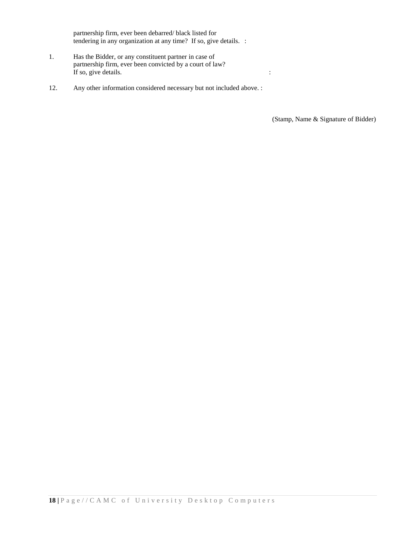partnership firm, ever been debarred/ black listed for tendering in any organization at any time? If so, give details. :

- 1. Has the Bidder, or any constituent partner in case of partnership firm, ever been convicted by a court of law? If so, give details.
- 12. Any other information considered necessary but not included above. :

(Stamp, Name & Signature of Bidder)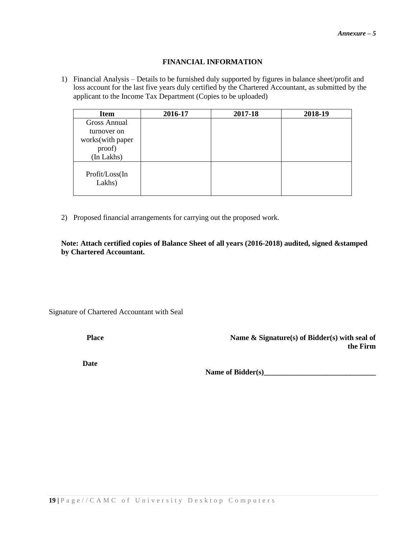# **FINANCIAL INFORMATION**

1) Financial Analysis – Details to be furnished duly supported by figures in balance sheet/profit and loss account for the last five years duly certified by the Chartered Accountant, as submitted by the applicant to the Income Tax Department (Copies to be uploaded)

| <b>Item</b>              | 2016-17 | 2017-18 | 2018-19 |
|--------------------------|---------|---------|---------|
| <b>Gross Annual</b>      |         |         |         |
| turnover on              |         |         |         |
| works(with paper         |         |         |         |
| proof)                   |         |         |         |
| (In Lakhs)               |         |         |         |
| Profit/Loss(In<br>Lakhs) |         |         |         |

2) Proposed financial arrangements for carrying out the proposed work.

**Note: Attach certified copies of Balance Sheet of all years (2016-2018) audited, signed &stamped by Chartered Accountant.**

Signature of Chartered Accountant with Seal

**Place Name & Signature(s) of Bidder(s) with seal of the Firm**

**Date**

Name of Bidder(s)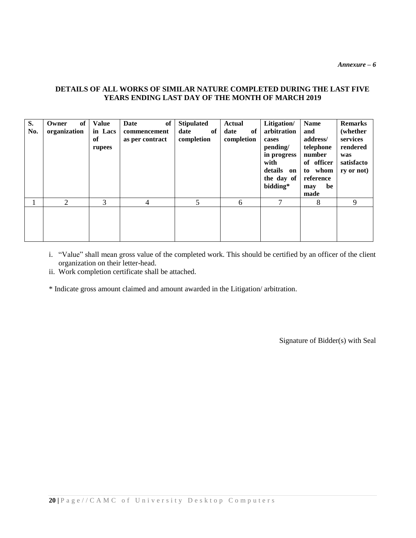*Annexure – 6*

# **DETAILS OF ALL WORKS OF SIMILAR NATURE COMPLETED DURING THE LAST FIVE YEARS ENDING LAST DAY OF THE MONTH OF MARCH 2019**

| S.<br>No. | of<br>Owner<br>organization | <b>Value</b><br>in Lacs<br>of<br>rupees | of<br>Date<br>commencement<br>as per contract | <b>Stipulated</b><br>of<br>date<br>completion | <b>Actual</b><br>date<br>of<br>completion | Litigation/<br>arbitration<br>cases<br>pending/<br>in progress<br>with<br>details<br>on<br>the day of<br>bidding* | <b>Name</b><br>and<br>address/<br>telephone<br>number<br>of officer<br>to whom<br>reference<br>be<br>may<br>made | <b>Remarks</b><br>(whether<br>services<br>rendered<br>was<br>satisfacto<br>ry or not |
|-----------|-----------------------------|-----------------------------------------|-----------------------------------------------|-----------------------------------------------|-------------------------------------------|-------------------------------------------------------------------------------------------------------------------|------------------------------------------------------------------------------------------------------------------|--------------------------------------------------------------------------------------|
|           | $\mathfrak{D}$              | 3                                       | 4                                             | 5                                             | 6                                         | 7                                                                                                                 | 8                                                                                                                | 9                                                                                    |
|           |                             |                                         |                                               |                                               |                                           |                                                                                                                   |                                                                                                                  |                                                                                      |

- i. "Value" shall mean gross value of the completed work. This should be certified by an officer of the client organization on their letter-head.
- ii. Work completion certificate shall be attached.

\* Indicate gross amount claimed and amount awarded in the Litigation/ arbitration.

Signature of Bidder(s) with Seal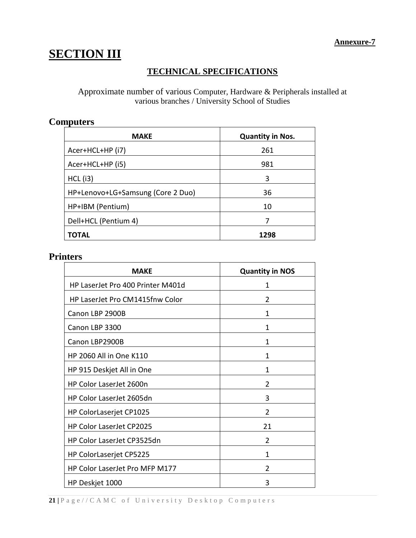# **SECTION III**

# **TECHNICAL SPECIFICATIONS**

Approximate number of various Computer, Hardware & Peripherals installed at various branches / University School of Studies

# **Computers**

| <b>MAKE</b>                       | <b>Quantity in Nos.</b> |
|-----------------------------------|-------------------------|
| Acer+HCL+HP (i7)                  | 261                     |
| Acer+HCL+HP (i5)                  | 981                     |
| $HCL$ (i3)                        | 3                       |
| HP+Lenovo+LG+Samsung (Core 2 Duo) | 36                      |
| HP+IBM (Pentium)                  | 10                      |
| Dell+HCL (Pentium 4)              | 7                       |
| ΤΟΤΑL                             | 1298                    |

# **Printers**

| <b>MAKE</b>                       | <b>Quantity in NOS</b> |
|-----------------------------------|------------------------|
| HP LaserJet Pro 400 Printer M401d | 1                      |
| HP LaserJet Pro CM1415fnw Color   | 2                      |
| Canon LBP 2900B                   | 1                      |
| Canon LBP 3300                    | $\mathbf{1}$           |
| Canon LBP2900B                    | 1                      |
| HP 2060 All in One K110           | 1                      |
| HP 915 Deskjet All in One         | 1                      |
| HP Color LaserJet 2600n           | 2                      |
| HP Color LaserJet 2605dn          | 3                      |
| HP ColorLaserjet CP1025           | $\mathfrak{p}$         |
| HP Color LaserJet CP2025          | 21                     |
| HP Color LaserJet CP3525dn        | $\overline{2}$         |
| HP ColorLaserjet CP5225           | 1                      |
| HP Color LaserJet Pro MFP M177    | 2                      |
| HP Deskjet 1000                   | 3                      |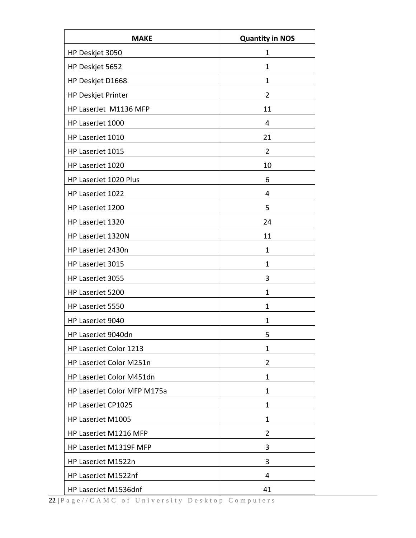| <b>MAKE</b>                 | <b>Quantity in NOS</b> |
|-----------------------------|------------------------|
| HP Deskjet 3050             | 1                      |
| HP Deskjet 5652             | 1                      |
| HP Deskjet D1668            | 1                      |
| HP Deskjet Printer          | $\overline{2}$         |
| HP LaserJet M1136 MFP       | 11                     |
| HP LaserJet 1000            | 4                      |
| HP LaserJet 1010            | 21                     |
| HP LaserJet 1015            | 2                      |
| HP LaserJet 1020            | 10                     |
| HP LaserJet 1020 Plus       | 6                      |
| HP LaserJet 1022            | 4                      |
| HP LaserJet 1200            | 5                      |
| HP LaserJet 1320            | 24                     |
| HP LaserJet 1320N           | 11                     |
| HP LaserJet 2430n           | 1                      |
| HP LaserJet 3015            | 1                      |
| HP LaserJet 3055            | 3                      |
| HP LaserJet 5200            | 1                      |
| HP LaserJet 5550            | 1                      |
| HP LaserJet 9040            | 1                      |
| HP LaserJet 9040dn          | 5                      |
| HP LaserJet Color 1213      | 1                      |
| HP LaserJet Color M251n     | 2                      |
| HP LaserJet Color M451dn    | $\mathbf{1}$           |
| HP LaserJet Color MFP M175a | 1                      |
| HP LaserJet CP1025          | $\mathbf 1$            |
| HP LaserJet M1005           | 1                      |
| HP LaserJet M1216 MFP       | 2                      |
| HP LaserJet M1319F MFP      | 3                      |
| HP LaserJet M1522n          | 3                      |
| HP LaserJet M1522nf         | 4                      |
| HP LaserJet M1536dnf        | 41                     |

**22 |** P a g e / / C A M C o f U n i v e r s i t y D e s k t o p C o m p u t e r s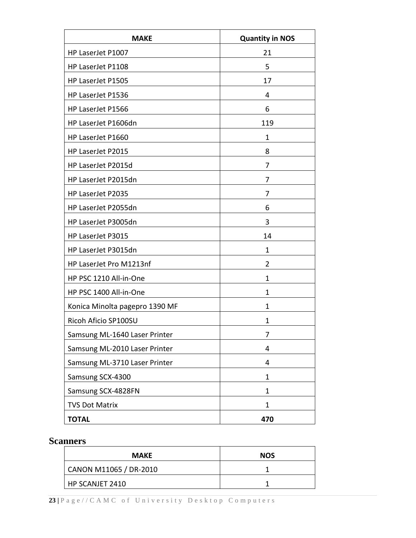| <b>MAKE</b>                    | <b>Quantity in NOS</b> |
|--------------------------------|------------------------|
| HP LaserJet P1007              | 21                     |
| HP LaserJet P1108              | 5                      |
| HP LaserJet P1505              | 17                     |
| HP LaserJet P1536              | 4                      |
| HP LaserJet P1566              | 6                      |
| HP LaserJet P1606dn            | 119                    |
| HP LaserJet P1660              | 1                      |
| HP LaserJet P2015              | 8                      |
| HP LaserJet P2015d             | 7                      |
| HP LaserJet P2015dn            | 7                      |
| HP LaserJet P2035              | 7                      |
| HP LaserJet P2055dn            | 6                      |
| HP LaserJet P3005dn            | 3                      |
| HP LaserJet P3015              | 14                     |
| HP LaserJet P3015dn            | 1                      |
| HP LaserJet Pro M1213nf        | 2                      |
| HP PSC 1210 All-in-One         | 1                      |
| HP PSC 1400 All-in-One         | 1                      |
| Konica Minolta pagepro 1390 MF | 1                      |
| Ricoh Aficio SP100SU           | 1                      |
| Samsung ML-1640 Laser Printer  | 7                      |
| Samsung ML-2010 Laser Printer  | 4                      |
| Samsung ML-3710 Laser Printer  | 4                      |
| Samsung SCX-4300               | 1                      |
| Samsung SCX-4828FN             | 1                      |
| <b>TVS Dot Matrix</b>          | 1                      |
| <b>TOTAL</b>                   | 470                    |

# **Scanners**

| <b>MAKE</b>            | <b>NOS</b> |
|------------------------|------------|
| CANON M11065 / DR-2010 |            |
| HP SCANJET 2410        |            |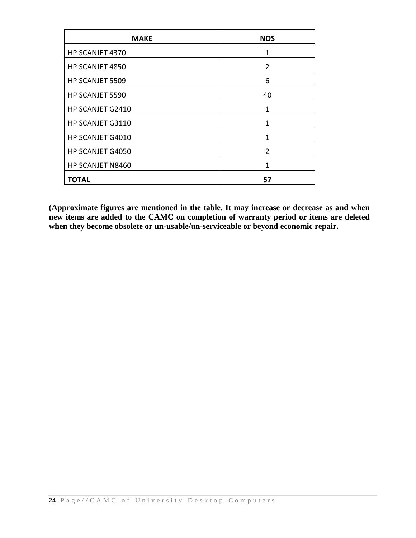| <b>MAKE</b>      | <b>NOS</b>     |
|------------------|----------------|
| HP SCANJET 4370  | 1              |
| HP SCANJET 4850  | $\overline{2}$ |
| HP SCANJET 5509  | 6              |
| HP SCANJET 5590  | 40             |
| HP SCANJET G2410 | 1              |
| HP SCANJET G3110 | 1              |
| HP SCANJET G4010 | 1              |
| HP SCANJET G4050 | $\mathfrak{p}$ |
| HP SCANJET N8460 | 1              |
| <b>TOTAL</b>     | 57             |

**(Approximate figures are mentioned in the table. It may increase or decrease as and when new items are added to the CAMC on completion of warranty period or items are deleted when they become obsolete or un-usable/un-serviceable or beyond economic repair.**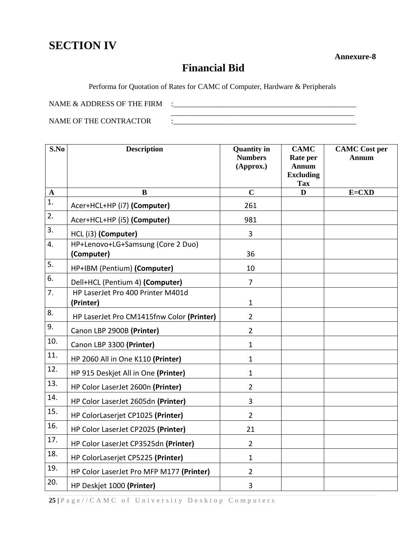# **SECTION IV**

 **Annexure-8**

# **Financial Bid**

Performa for Quotation of Rates for CAMC of Computer, Hardware & Peripherals

NAME & ADDRESS OF THE FIRM :\_\_\_\_\_\_\_\_\_\_\_\_\_\_\_\_\_\_\_\_\_\_\_\_\_\_\_\_\_\_\_\_\_\_\_\_\_\_\_\_\_\_\_\_\_\_\_\_\_

NAME OF THE CONTRACTOR  $\qquad$ :

| S.No        | <b>Description</b>                              | <b>Quantity in</b><br><b>Numbers</b><br>(Approx.) | <b>CAMC</b><br>Rate per<br><b>Annum</b><br><b>Excluding</b> | <b>CAMC</b> Cost per<br><b>Annum</b> |
|-------------|-------------------------------------------------|---------------------------------------------------|-------------------------------------------------------------|--------------------------------------|
|             |                                                 |                                                   | <b>Tax</b>                                                  |                                      |
| $\mathbf A$ | B                                               | $\mathbf C$                                       | D                                                           | $E=CXD$                              |
| 1.          | Acer+HCL+HP (i7) (Computer)                     | 261                                               |                                                             |                                      |
| 2.          | Acer+HCL+HP (i5) (Computer)                     | 981                                               |                                                             |                                      |
| 3.          | HCL (i3) (Computer)                             | 3                                                 |                                                             |                                      |
| 4.          | HP+Lenovo+LG+Samsung (Core 2 Duo)<br>(Computer) | 36                                                |                                                             |                                      |
| 5.          | HP+IBM (Pentium) (Computer)                     | 10                                                |                                                             |                                      |
| 6.          | Dell+HCL (Pentium 4) (Computer)                 | $\overline{7}$                                    |                                                             |                                      |
| 7.          | HP LaserJet Pro 400 Printer M401d<br>(Printer)  | $\mathbf{1}$                                      |                                                             |                                      |
| 8.          | HP LaserJet Pro CM1415fnw Color (Printer)       | $\overline{2}$                                    |                                                             |                                      |
| 9.          | Canon LBP 2900B (Printer)                       | $\overline{2}$                                    |                                                             |                                      |
| 10.         | Canon LBP 3300 (Printer)                        | $\mathbf{1}$                                      |                                                             |                                      |
| 11.         | HP 2060 All in One K110 (Printer)               | $\mathbf{1}$                                      |                                                             |                                      |
| 12.         | HP 915 Deskjet All in One (Printer)             | $\mathbf{1}$                                      |                                                             |                                      |
| 13.         | HP Color LaserJet 2600n (Printer)               | $\overline{2}$                                    |                                                             |                                      |
| 14.         | HP Color LaserJet 2605dn (Printer)              | 3                                                 |                                                             |                                      |
| 15.         | HP ColorLaserjet CP1025 (Printer)               | $\overline{2}$                                    |                                                             |                                      |
| 16.         | HP Color LaserJet CP2025 (Printer)              | 21                                                |                                                             |                                      |
| 17.         | HP Color LaserJet CP3525dn (Printer)            | $\overline{2}$                                    |                                                             |                                      |
| 18.         | HP ColorLaserjet CP5225 (Printer)               | $\mathbf{1}$                                      |                                                             |                                      |
| 19.         | HP Color LaserJet Pro MFP M177 (Printer)        | $\overline{2}$                                    |                                                             |                                      |
| 20.         | HP Deskjet 1000 (Printer)                       | 3                                                 |                                                             |                                      |

**25 |** P a g e / / C A M C o f U n i v e r s i t y D e s k t o p C o m p u t e r s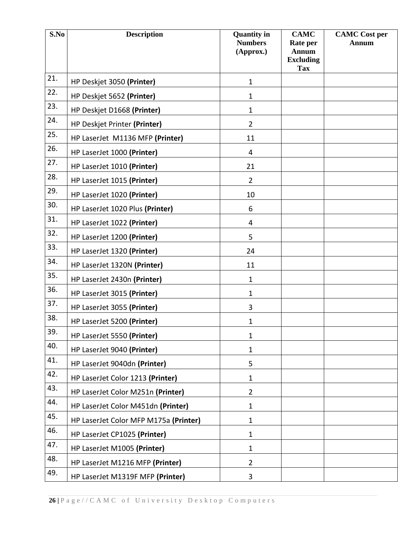| S.No | <b>Description</b>                    | <b>Quantity in</b><br><b>Numbers</b><br>(Approx.) | <b>CAMC</b><br>Rate per<br><b>Annum</b> | <b>CAMC</b> Cost per<br><b>Annum</b> |
|------|---------------------------------------|---------------------------------------------------|-----------------------------------------|--------------------------------------|
|      |                                       |                                                   | <b>Excluding</b><br><b>Tax</b>          |                                      |
| 21.  | HP Deskjet 3050 (Printer)             | $\mathbf{1}$                                      |                                         |                                      |
| 22.  | HP Deskjet 5652 (Printer)             | $\mathbf{1}$                                      |                                         |                                      |
| 23.  | HP Deskjet D1668 (Printer)            | $\mathbf{1}$                                      |                                         |                                      |
| 24.  | HP Deskjet Printer (Printer)          | $\overline{2}$                                    |                                         |                                      |
| 25.  | HP LaserJet M1136 MFP (Printer)       | 11                                                |                                         |                                      |
| 26.  | HP LaserJet 1000 (Printer)            | 4                                                 |                                         |                                      |
| 27.  | HP LaserJet 1010 (Printer)            | 21                                                |                                         |                                      |
| 28.  | HP LaserJet 1015 (Printer)            | $\overline{2}$                                    |                                         |                                      |
| 29.  | HP LaserJet 1020 (Printer)            | 10                                                |                                         |                                      |
| 30.  | HP LaserJet 1020 Plus (Printer)       | 6                                                 |                                         |                                      |
| 31.  | HP LaserJet 1022 (Printer)            | 4                                                 |                                         |                                      |
| 32.  | HP LaserJet 1200 (Printer)            | 5                                                 |                                         |                                      |
| 33.  | HP LaserJet 1320 (Printer)            | 24                                                |                                         |                                      |
| 34.  | HP LaserJet 1320N (Printer)           | 11                                                |                                         |                                      |
| 35.  | HP LaserJet 2430n (Printer)           | $\mathbf{1}$                                      |                                         |                                      |
| 36.  | HP LaserJet 3015 (Printer)            | $\mathbf{1}$                                      |                                         |                                      |
| 37.  | HP LaserJet 3055 (Printer)            | 3                                                 |                                         |                                      |
| 38.  | HP LaserJet 5200 (Printer)            | $\mathbf{1}$                                      |                                         |                                      |
| 39.  | HP LaserJet 5550 (Printer)            | $\mathbf{1}$                                      |                                         |                                      |
| 40.  | HP LaserJet 9040 (Printer)            | $\mathbf{1}$                                      |                                         |                                      |
| 41.  | HP LaserJet 9040dn (Printer)          | 5                                                 |                                         |                                      |
| 42.  | HP LaserJet Color 1213 (Printer)      | $\mathbf{1}$                                      |                                         |                                      |
| 43.  | HP LaserJet Color M251n (Printer)     | $\overline{2}$                                    |                                         |                                      |
| 44.  | HP LaserJet Color M451dn (Printer)    | $\mathbf{1}$                                      |                                         |                                      |
| 45.  | HP LaserJet Color MFP M175a (Printer) | $\mathbf{1}$                                      |                                         |                                      |
| 46.  | HP LaserJet CP1025 (Printer)          | $\mathbf{1}$                                      |                                         |                                      |
| 47.  | HP LaserJet M1005 (Printer)           | $\mathbf{1}$                                      |                                         |                                      |
| 48.  | HP LaserJet M1216 MFP (Printer)       | $\overline{2}$                                    |                                         |                                      |
| 49.  | HP LaserJet M1319F MFP (Printer)      | 3                                                 |                                         |                                      |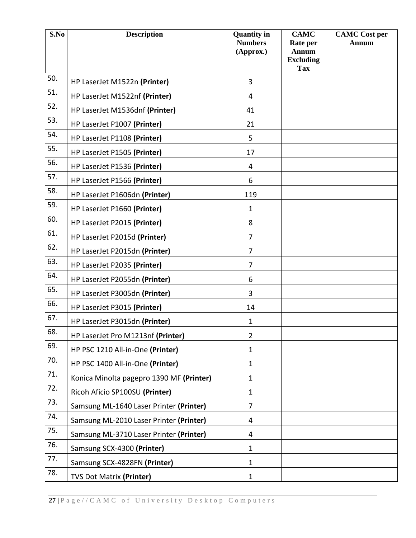| S.No | <b>Description</b>                       | <b>Quantity in</b><br><b>Numbers</b><br>(Approx.) | <b>CAMC</b><br>Rate per<br><b>Annum</b><br><b>Excluding</b><br><b>Tax</b> | <b>CAMC</b> Cost per<br><b>Annum</b> |
|------|------------------------------------------|---------------------------------------------------|---------------------------------------------------------------------------|--------------------------------------|
| 50.  | HP LaserJet M1522n (Printer)             | 3                                                 |                                                                           |                                      |
| 51.  | HP LaserJet M1522nf (Printer)            | $\overline{4}$                                    |                                                                           |                                      |
| 52.  | HP LaserJet M1536dnf (Printer)           | 41                                                |                                                                           |                                      |
| 53.  | HP LaserJet P1007 (Printer)              | 21                                                |                                                                           |                                      |
| 54.  | HP LaserJet P1108 (Printer)              | 5                                                 |                                                                           |                                      |
| 55.  | HP LaserJet P1505 (Printer)              | 17                                                |                                                                           |                                      |
| 56.  | HP LaserJet P1536 (Printer)              | 4                                                 |                                                                           |                                      |
| 57.  | HP LaserJet P1566 (Printer)              | 6                                                 |                                                                           |                                      |
| 58.  | HP LaserJet P1606dn (Printer)            | 119                                               |                                                                           |                                      |
| 59.  | HP LaserJet P1660 (Printer)              | $\mathbf{1}$                                      |                                                                           |                                      |
| 60.  | HP LaserJet P2015 (Printer)              | 8                                                 |                                                                           |                                      |
| 61.  | HP LaserJet P2015d (Printer)             | $\overline{7}$                                    |                                                                           |                                      |
| 62.  | HP LaserJet P2015dn (Printer)            | $\overline{7}$                                    |                                                                           |                                      |
| 63.  | HP LaserJet P2035 (Printer)              | 7                                                 |                                                                           |                                      |
| 64.  | HP LaserJet P2055dn (Printer)            | 6                                                 |                                                                           |                                      |
| 65.  | HP LaserJet P3005dn (Printer)            | 3                                                 |                                                                           |                                      |
| 66.  | HP LaserJet P3015 (Printer)              | 14                                                |                                                                           |                                      |
| 67.  | HP LaserJet P3015dn (Printer)            | $\mathbf{1}$                                      |                                                                           |                                      |
| 68.  | HP LaserJet Pro M1213nf (Printer)        | $\overline{2}$                                    |                                                                           |                                      |
| 69.  | HP PSC 1210 All-in-One (Printer)         | 1                                                 |                                                                           |                                      |
| 70.  | HP PSC 1400 All-in-One (Printer)         | 1                                                 |                                                                           |                                      |
| 71.  | Konica Minolta pagepro 1390 MF (Printer) | $\mathbf{1}$                                      |                                                                           |                                      |
| 72.  | Ricoh Aficio SP100SU (Printer)           | $\mathbf{1}$                                      |                                                                           |                                      |
| 73.  | Samsung ML-1640 Laser Printer (Printer)  | $\overline{7}$                                    |                                                                           |                                      |
| 74.  | Samsung ML-2010 Laser Printer (Printer)  | 4                                                 |                                                                           |                                      |
| 75.  | Samsung ML-3710 Laser Printer (Printer)  | 4                                                 |                                                                           |                                      |
| 76.  | Samsung SCX-4300 (Printer)               | $\mathbf{1}$                                      |                                                                           |                                      |
| 77.  | Samsung SCX-4828FN (Printer)             | $\mathbf{1}$                                      |                                                                           |                                      |
| 78.  | <b>TVS Dot Matrix (Printer)</b>          | $\mathbf{1}$                                      |                                                                           |                                      |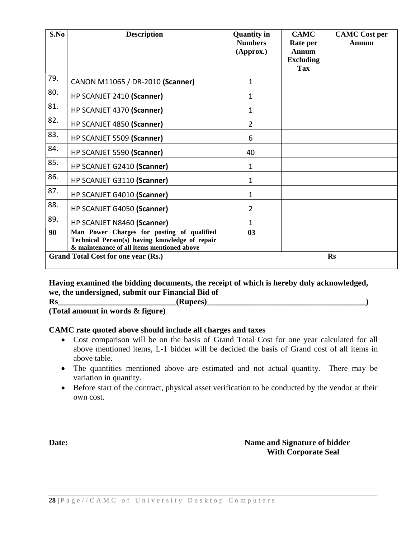| S.No | <b>Description</b>                                                                                                                         | <b>Quantity in</b><br><b>Numbers</b><br>(Approx.) | <b>CAMC</b><br>Rate per<br><b>Annum</b><br><b>Excluding</b><br>Tax | <b>CAMC</b> Cost per<br>Annum |
|------|--------------------------------------------------------------------------------------------------------------------------------------------|---------------------------------------------------|--------------------------------------------------------------------|-------------------------------|
| 79.  | CANON M11065 / DR-2010 (Scanner)                                                                                                           | 1                                                 |                                                                    |                               |
| 80.  | HP SCANJET 2410 (Scanner)                                                                                                                  | 1                                                 |                                                                    |                               |
| 81.  | HP SCANJET 4370 (Scanner)                                                                                                                  | 1                                                 |                                                                    |                               |
| 82.  | HP SCANJET 4850 (Scanner)                                                                                                                  | $\overline{2}$                                    |                                                                    |                               |
| 83.  | HP SCANJET 5509 (Scanner)                                                                                                                  | 6                                                 |                                                                    |                               |
| 84.  | HP SCANJET 5590 (Scanner)                                                                                                                  | 40                                                |                                                                    |                               |
| 85.  | HP SCANJET G2410 (Scanner)                                                                                                                 | 1                                                 |                                                                    |                               |
| 86.  | HP SCANJET G3110 (Scanner)                                                                                                                 | $\mathbf 1$                                       |                                                                    |                               |
| 87.  | HP SCANJET G4010 (Scanner)                                                                                                                 | 1                                                 |                                                                    |                               |
| 88.  | HP SCANJET G4050 (Scanner)                                                                                                                 | $\overline{2}$                                    |                                                                    |                               |
| 89.  | HP SCANJET N8460 (Scanner)                                                                                                                 | 1                                                 |                                                                    |                               |
| 90   | Man Power Charges for posting of qualified<br>Technical Person(s) having knowledge of repair<br>& maintenance of all items mentioned above | 03                                                |                                                                    |                               |
|      | Grand Total Cost for one year (Rs.)                                                                                                        |                                                   |                                                                    | <b>Rs</b>                     |

# **Having examined the bidding documents, the receipt of which is hereby duly acknowledged, we, the undersigned, submit our Financial Bid of**

**Rs\_\_\_\_\_\_\_\_\_\_\_\_\_\_\_\_\_\_\_\_\_\_\_\_\_\_\_\_\_(Rupees)\_\_\_\_\_\_\_\_\_\_\_\_\_\_\_\_\_\_\_\_\_\_\_\_\_\_\_\_\_\_\_\_\_\_\_\_\_\_\_)**

**(Total amount in words & figure)**

# **CAMC rate quoted above should include all charges and taxes**

- Cost comparison will be on the basis of Grand Total Cost for one year calculated for all above mentioned items, L-1 bidder will be decided the basis of Grand cost of all items in above table.
- The quantities mentioned above are estimated and not actual quantity. There may be variation in quantity.
- Before start of the contract, physical asset verification to be conducted by the vendor at their own cost.

**Date: Name and Signature of bidder With Corporate Seal**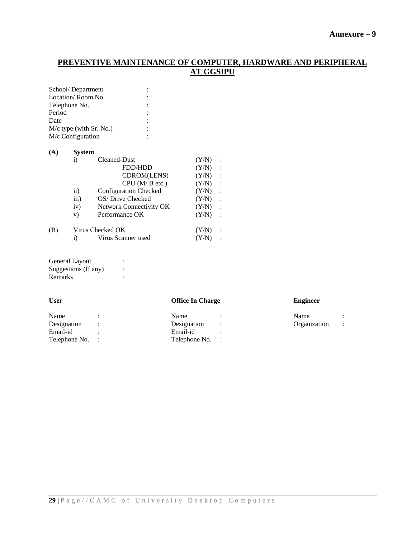# **Annexure – 9**

# **PREVENTIVE MAINTENANCE OF COMPUTER, HARDWARE AND PERIPHERAL AT GGSIPU**

| School/Department         |  |
|---------------------------|--|
| Location/Room No.         |  |
| Telephone No.             |  |
| Period                    |  |
| Date                      |  |
| $M/c$ type (with Sr. No.) |  |
| M/c Configuration         |  |
|                           |  |

| (A) | <b>System</b>    |                         |       |                      |  |  |
|-----|------------------|-------------------------|-------|----------------------|--|--|
|     | $\bf{1)}$        | Cleaned-Dust            | (Y/N) |                      |  |  |
|     |                  | <b>FDD/HDD</b>          | (Y/N) | $\ddot{\phantom{a}}$ |  |  |
|     |                  | CDROM(LENS)             | (Y/N) | $\ddot{\cdot}$       |  |  |
|     |                  | CPU (M/B etc.)          | (Y/N) | $\ddot{\phantom{a}}$ |  |  |
|     | $\rm ii)$        | Configuration Checked   | (Y/N) | $\ddot{\cdot}$       |  |  |
|     | $\overline{iii}$ | OS/Drive Checked        | (Y/N) | $\ddot{\cdot}$       |  |  |
|     | iv)              | Network Connectivity OK | (Y/N) | $\ddot{\phantom{a}}$ |  |  |
|     | V)               | Performance OK          | (Y/N) | $\cdot$ :            |  |  |
| (B) |                  | Virus Checked OK        | (Y/N) |                      |  |  |
|     | i)               | Virus Scanner used      |       |                      |  |  |

| <b>General Layout</b> |  |
|-----------------------|--|
| Suggestions (If any)  |  |
| Remarks               |  |

# **User Office In Charge Engineer**

| Name            | Name            | Name         |  |
|-----------------|-----------------|--------------|--|
| Designation     | Designation     | Organization |  |
| Email-id        | Email-id        |              |  |
| Telephone No. : | Telephone No. : |              |  |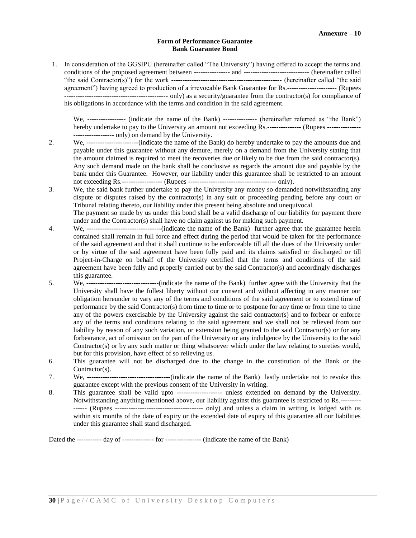#### **Form of Performance Guarantee Bank Guarantee Bond**

1. In consideration of the GGSIPU (hereinafter called "The University") having offered to accept the terms and conditions of the proposed agreement between ---------------- and ----------------------------- (hereinafter called "the said Contractor(s)") for the work ------------------------------------------------- (hereinafter called "the said agreement") having agreed to production of a irrevocable Bank Guarantee for Rs.---------------------- (Rupees ---------------------------------------------- only) as a security/guarantee from the contractor(s) for compliance of his obligations in accordance with the terms and condition in the said agreement.

We, ----------------- (indicate the name of the Bank) --------------- (hereinafter referred as "the Bank") hereby undertake to pay to the University an amount not exceeding Rs.--------------- (Rupees ---------------------------------- only) on demand by the University.

- 2. We, -----------------------(indicate the name of the Bank) do hereby undertake to pay the amounts due and payable under this guarantee without any demure, merely on a demand from the University stating that the amount claimed is required to meet the recoveries due or likely to be due from the said contractor(s). Any such demand made on the bank shall be conclusive as regards the amount due and payable by the bank under this Guarantee. However, our liability under this guarantee shall be restricted to an amount not exceeding Rs.------------------ (Rupees --------------------------------------- only).
- 3. We, the said bank further undertake to pay the University any money so demanded notwithstanding any dispute or disputes raised by the contractor(s) in any suit or proceeding pending before any court or Tribunal relating thereto, our liability under this present being absolute and unequivocal.

The payment so made by us under this bond shall be a valid discharge of our liability for payment there under and the Contractor(s) shall have no claim against us for making such payment.

- 4. We, ---------------------------------(indicate the name of the Bank) further agree that the guarantee herein contained shall remain in full force and effect during the period that would be taken for the performance of the said agreement and that it shall continue to be enforceable till all the dues of the University under or by virtue of the said agreement have been fully paid and its claims satisfied or discharged or till Project-in-Charge on behalf of the University certified that the terms and conditions of the said agreement have been fully and properly carried out by the said Contractor(s) and accordingly discharges this guarantee.
- 5. We, --------------------------------(indicate the name of the Bank) further agree with the University that the University shall have the fullest liberty without our consent and without affecting in any manner our obligation hereunder to vary any of the terms and conditions of the said agreement or to extend time of performance by the said Contractor(s) from time to time or to postpone for any time or from time to time any of the powers exercisable by the University against the said contractor(s) and to forbear or enforce any of the terms and conditions relating to the said agreement and we shall not be relieved from our liability by reason of any such variation, or extension being granted to the said Contractor(s) or for any forbearance, act of omission on the part of the University or any indulgence by the University to the said Contractor(s) or by any such matter or thing whatsoever which under the law relating to sureties would, but for this provision, have effect of so relieving us.
- 6. This guarantee will not be discharged due to the change in the constitution of the Bank or the Contractor(s).
- 7. We, -------------------------------------(indicate the name of the Bank) lastly undertake not to revoke this guarantee except with the previous consent of the University in writing.
- 8. This guarantee shall be valid upto -------------------- unless extended on demand by the University. Notwithstanding anything mentioned above, our liability against this guarantee is restricted to Rs.--------- ------ (Rupees --------------------------------------- only) and unless a claim in writing is lodged with us within six months of the date of expiry or the extended date of expiry of this guarantee all our liabilities under this guarantee shall stand discharged.

Dated the ----------- day of -------------- for ---------------- (indicate the name of the Bank)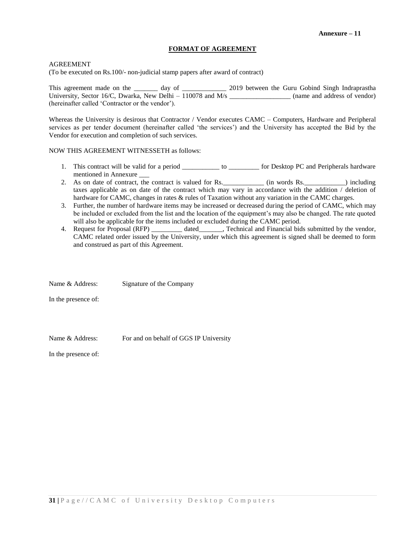#### **FORMAT OF AGREEMENT**

#### AGREEMENT

(To be executed on Rs.100/- non-judicial stamp papers after award of contract)

This agreement made on the \_\_\_\_\_\_\_ day of \_\_\_\_\_\_\_\_\_\_\_\_\_\_\_\_\_\_\_ 2019 between the Guru Gobind Singh Indraprastha University, Sector 16/C, Dwarka, New Delhi – 110078 and M/s \_\_\_\_\_\_\_\_\_\_\_\_\_\_\_\_\_\_\_\_ (name and address of vendor) (hereinafter called 'Contractor or the vendor').

Whereas the University is desirous that Contractor / Vendor executes CAMC – Computers, Hardware and Peripheral services as per tender document (hereinafter called 'the services') and the University has accepted the Bid by the Vendor for execution and completion of such services.

#### NOW THIS AGREEMENT WITNESSETH as follows:

- 1. This contract will be valid for a period \_\_\_\_\_\_\_\_\_\_\_\_ to \_\_\_\_\_\_\_\_\_ for Desktop PC and Peripherals hardware mentioned in Annexure \_\_\_
- 2. As on date of contract, the contract is valued for Rs. \_\_\_\_\_\_\_\_\_\_\_\_ (in words Rs. \_\_\_\_\_\_\_\_\_\_\_\_) including taxes applicable as on date of the contract which may vary in accordance with the addition / deletion of hardware for CAMC, changes in rates & rules of Taxation without any variation in the CAMC charges.
- 3. Further, the number of hardware items may be increased or decreased during the period of CAMC, which may be included or excluded from the list and the location of the equipment's may also be changed. The rate quoted will also be applicable for the items included or excluded during the CAMC period.
- 4. Request for Proposal (RFP) dated Fechnical and Financial bids submitted by the vendor, CAMC related order issued by the University, under which this agreement is signed shall be deemed to form and construed as part of this Agreement.

Name & Address: Signature of the Company In the presence of:

Name & Address: For and on behalf of GGS IP University

In the presence of: